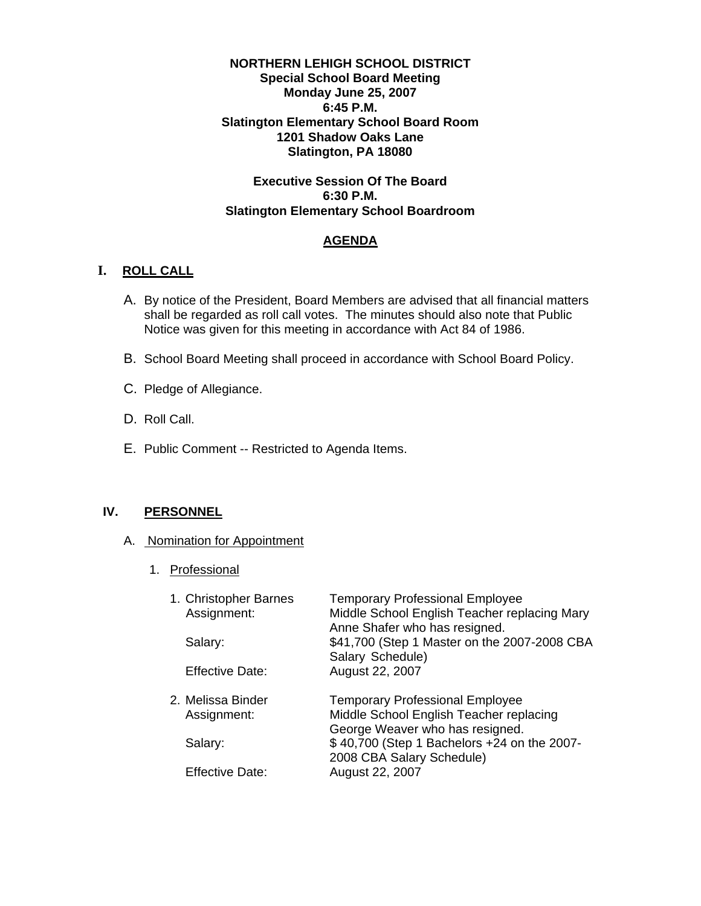#### **NORTHERN LEHIGH SCHOOL DISTRICT Special School Board Meeting Monday June 25, 2007 6:45 P.M. Slatington Elementary School Board Room 1201 Shadow Oaks Lane Slatington, PA 18080**

## **Executive Session Of The Board 6:30 P.M. Slatington Elementary School Boardroom**

## **AGENDA**

## **I. ROLL CALL**

- A. By notice of the President, Board Members are advised that all financial matters shall be regarded as roll call votes. The minutes should also note that Public Notice was given for this meeting in accordance with Act 84 of 1986.
- B. School Board Meeting shall proceed in accordance with School Board Policy.
- C. Pledge of Allegiance.
- D. Roll Call.
- E. Public Comment -- Restricted to Agenda Items.

## **IV. PERSONNEL**

## A. Nomination for Appointment

1. Professional

| 1. Christopher Barnes<br>Assignment:<br>Salary:<br><b>Effective Date:</b> | <b>Temporary Professional Employee</b><br>Middle School English Teacher replacing Mary<br>Anne Shafer who has resigned.<br>\$41,700 (Step 1 Master on the 2007-2008 CBA<br>Salary Schedule)<br>August 22, 2007 |
|---------------------------------------------------------------------------|----------------------------------------------------------------------------------------------------------------------------------------------------------------------------------------------------------------|
| 2. Melissa Binder<br>Assignment:<br>Salary:                               | <b>Temporary Professional Employee</b><br>Middle School English Teacher replacing<br>George Weaver who has resigned.<br>\$40,700 (Step 1 Bachelors +24 on the 2007-                                            |
| <b>Effective Date:</b>                                                    | 2008 CBA Salary Schedule)<br>August 22, 2007                                                                                                                                                                   |